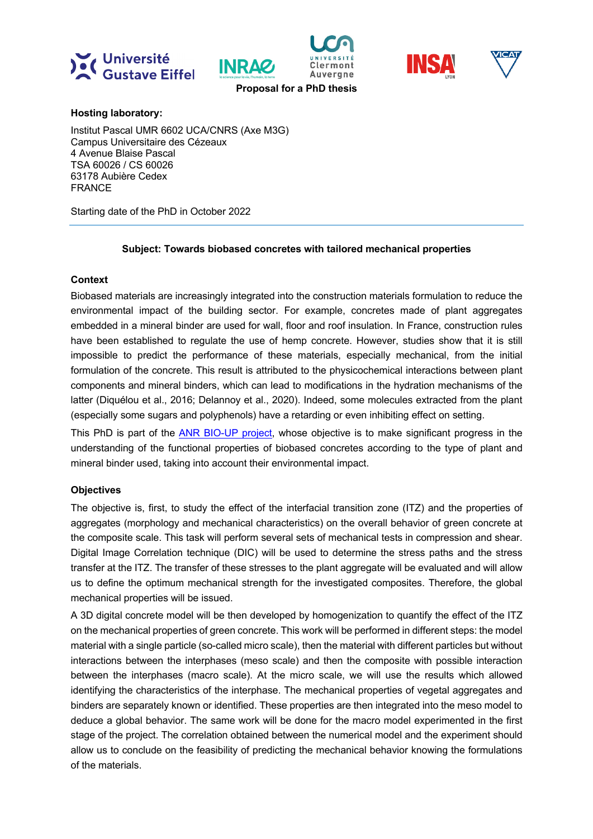







**Proposal for a PhD thesis**

INRAG

**Hosting laboratory:**

Institut Pascal UMR 6602 UCA/CNRS (Axe M3G) Campus Universitaire des Cézeaux 4 Avenue Blaise Pascal TSA 60026 / CS 60026 63178 Aubière Cedex FRANCE

Starting date of the PhD in October 2022

# **Subject: Towards biobased concretes with tailored mechanical properties**

# **Context**

Biobased materials are increasingly integrated into the construction materials formulation to reduce the environmental impact of the building sector. For example, concretes made of plant aggregates embedded in a mineral binder are used for wall, floor and roof insulation. In France, construction rules have been established to regulate the use of hemp concrete. However, studies show that it is still impossible to predict the performance of these materials, especially mechanical, from the initial formulation of the concrete. This result is attributed to the physicochemical interactions between plant components and mineral binders, which can lead to modifications in the hydration mechanisms of the latter (Diquélou et al., 2016; Delannoy et al., 2020). Indeed, some molecules extracted from the plant (especially some sugars and polyphenols) have a retarding or even inhibiting effect on setting.

This PhD is part of the ANR BIO-UP project, whose objective is to make significant progress in the understanding of the functional properties of biobased concretes according to the type of plant and mineral binder used, taking into account their environmental impact.

# **Objectives**

The objective is, first, to study the effect of the interfacial transition zone (ITZ) and the properties of aggregates (morphology and mechanical characteristics) on the overall behavior of green concrete at the composite scale. This task will perform several sets of mechanical tests in compression and shear. Digital Image Correlation technique (DIC) will be used to determine the stress paths and the stress transfer at the ITZ. The transfer of these stresses to the plant aggregate will be evaluated and will allow us to define the optimum mechanical strength for the investigated composites. Therefore, the global mechanical properties will be issued.

A 3D digital concrete model will be then developed by homogenization to quantify the effect of the ITZ on the mechanical properties of green concrete. This work will be performed in different steps: the model material with a single particle (so-called micro scale), then the material with different particles but without interactions between the interphases (meso scale) and then the composite with possible interaction between the interphases (macro scale). At the micro scale, we will use the results which allowed identifying the characteristics of the interphase. The mechanical properties of vegetal aggregates and binders are separately known or identified. These properties are then integrated into the meso model to deduce a global behavior. The same work will be done for the macro model experimented in the first stage of the project. The correlation obtained between the numerical model and the experiment should allow us to conclude on the feasibility of predicting the mechanical behavior knowing the formulations of the materials.